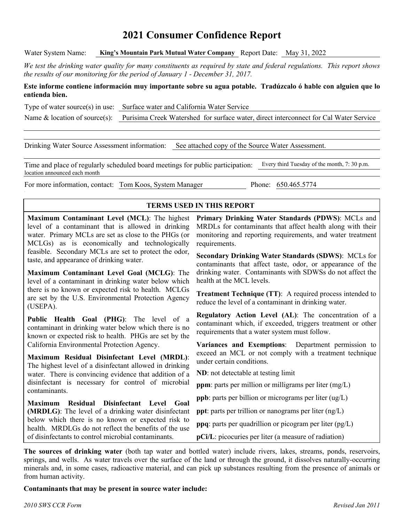## **2021 Consumer Confidence Report**

Water System Name: **King's Mountain Park Mutual Water Company** Report Date: May 31, 2022

*We test the drinking water quality for many constituents as required by state and federal regulations. This report shows the results of our monitoring for the period of January 1 - December 31, 2017.*

#### **Este informe contiene información muy importante sobre su agua potable. Tradúzcalo ó hable con alguien que lo entienda bien.**

Type of water source(s) in use: Surface water and California Water Service

Name & location of source(s): Purisima Creek Watershed for surface water, direct interconnect for Cal Water Service

Drinking Water Source Assessment information: See attached copy of the Source Water Assessment.

Time and place of regularly scheduled board meetings for public participation: Every third Tuesday of the month, 7: 30 p.m. location announced each month

For more information, contact: Tom Koos, System Manager Phone: 650.465.5774

#### **TERMS USED IN THIS REPORT**

**Maximum Contaminant Level (MCL)**: The highest level of a contaminant that is allowed in drinking water. Primary MCLs are set as close to the PHGs (or MCLGs) as is economically and technologically feasible. Secondary MCLs are set to protect the odor, taste, and appearance of drinking water.

**Maximum Contaminant Level Goal (MCLG)**: The level of a contaminant in drinking water below which there is no known or expected risk to health. MCLGs are set by the U.S. Environmental Protection Agency (USEPA).

**Public Health Goal (PHG)**: The level of a contaminant in drinking water below which there is no known or expected risk to health. PHGs are set by the California Environmental Protection Agency.

**Maximum Residual Disinfectant Level (MRDL)**: The highest level of a disinfectant allowed in drinking water. There is convincing evidence that addition of a disinfectant is necessary for control of microbial contaminants.

**Maximum Residual Disinfectant Level Goal (MRDLG)**: The level of a drinking water disinfectant below which there is no known or expected risk to health. MRDLGs do not reflect the benefits of the use of disinfectants to control microbial contaminants.

**Primary Drinking Water Standards (PDWS)**: MCLs and MRDLs for contaminants that affect health along with their monitoring and reporting requirements, and water treatment requirements.

**Secondary Drinking Water Standards (SDWS)**:MCLs for contaminants that affect taste, odor, or appearance of the drinking water. Contaminants with SDWSs do not affect the health at the MCL levels.

**Treatment Technique (TT)**: A required process intended to reduce the level of a contaminant in drinking water.

**Regulatory Action Level (AL)**: The concentration of a contaminant which, if exceeded, triggers treatment or other requirements that a water system must follow.

**Variances and Exemptions**: Department permission to exceed an MCL or not comply with a treatment technique under certain conditions.

**ND**: not detectable at testing limit

**ppm**: parts per million or milligrams per liter (mg/L)

**ppb**: parts per billion or micrograms per liter (ug/L)

**ppt**: parts per trillion or nanograms per liter (ng/L)

**ppq**: parts per quadrillion or picogram per liter (pg/L)

**pCi/L**: picocuries per liter (a measure of radiation)

**The sources of drinking water** (both tap water and bottled water) include rivers, lakes, streams, ponds, reservoirs, springs, and wells. As water travels over the surface of the land or through the ground, it dissolves naturally-occurring minerals and, in some cases, radioactive material, and can pick up substances resulting from the presence of animals or from human activity.

**Contaminants that may be present in source water include:**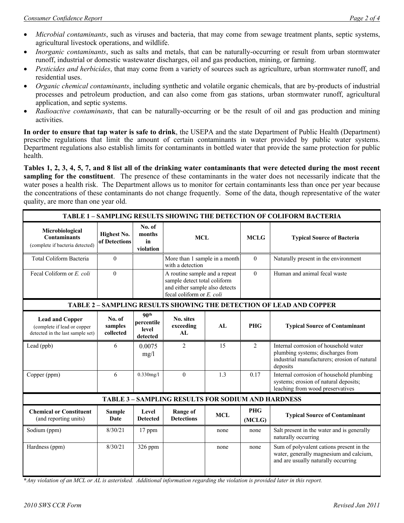- *Microbial contaminants*, such as viruses and bacteria, that may come from sewage treatment plants, septic systems, agricultural livestock operations, and wildlife.
- *Inorganic contaminants*, such as salts and metals, that can be naturally-occurring or result from urban stormwater runoff, industrial or domestic wastewater discharges, oil and gas production, mining, or farming.
- *Pesticides and herbicides*, that may come from a variety of sources such as agriculture, urban stormwater runoff, and residential uses.
- *Organic chemical contaminants*, including synthetic and volatile organic chemicals, that are by-products of industrial processes and petroleum production, and can also come from gas stations, urban stormwater runoff, agricultural application, and septic systems.
- *Radioactive contaminants*, that can be naturally-occurring or be the result of oil and gas production and mining activities.

**In order to ensure that tap water is safe to drink**, the USEPA and the state Department of Public Health (Department) prescribe regulations that limit the amount of certain contaminants in water provided by public water systems. Department regulations also establish limits for contaminants in bottled water that provide the same protection for public health.

**Tables 1, 2, 3, 4, 5, 7, and 8 list all of the drinking water contaminants that were detected during the most recent sampling for the constituent**. The presence of these contaminants in the water does not necessarily indicate that the water poses a health risk. The Department allows us to monitor for certain contaminants less than once per year because the concentrations of these contaminants do not change frequently. Some of the data, though representative of the water quality, are more than one year old.

| <b>TABLE 1 - SAMPLING RESULTS SHOWING THE DETECTION OF COLIFORM BACTERIA</b>              |                                |                                                     |                                                                                                                              |            |                      |                                                                                                                                        |  |  |  |  |
|-------------------------------------------------------------------------------------------|--------------------------------|-----------------------------------------------------|------------------------------------------------------------------------------------------------------------------------------|------------|----------------------|----------------------------------------------------------------------------------------------------------------------------------------|--|--|--|--|
| Microbiological<br><b>Contaminants</b><br>(complete if bacteria detected)                 | Highest No.<br>of Detections   | No. of<br>months<br>in<br>violation                 | <b>MCL</b>                                                                                                                   |            | <b>MCLG</b>          | <b>Typical Source of Bacteria</b>                                                                                                      |  |  |  |  |
| Total Coliform Bacteria                                                                   | $\theta$                       |                                                     | More than 1 sample in a month<br>with a detection                                                                            |            | $\theta$             | Naturally present in the environment                                                                                                   |  |  |  |  |
| Fecal Coliform or E. coli                                                                 | $\theta$                       |                                                     | A routine sample and a repeat<br>sample detect total coliform<br>and either sample also detects<br>fecal coliform or E. coli |            | $\theta$             | Human and animal fecal waste                                                                                                           |  |  |  |  |
| <b>TABLE 2 - SAMPLING RESULTS SHOWING THE DETECTION OF LEAD AND COPPER</b>                |                                |                                                     |                                                                                                                              |            |                      |                                                                                                                                        |  |  |  |  |
| <b>Lead and Copper</b><br>(complete if lead or copper<br>detected in the last sample set) | No. of<br>samples<br>collected | 90 <sup>th</sup><br>percentile<br>level<br>detected | No. sites<br>exceeding<br>AL                                                                                                 | AL         | <b>PHG</b>           | <b>Typical Source of Contaminant</b>                                                                                                   |  |  |  |  |
| Lead (ppb)                                                                                | 6                              | 0.0075<br>mg/l                                      | 2                                                                                                                            | 15         | 2                    | Internal corrosion of household water<br>plumbing systems; discharges from<br>industrial manufacturers; erosion of natural<br>deposits |  |  |  |  |
| Copper (ppm)                                                                              | 6                              | $0.330$ mg/l                                        | $\Omega$                                                                                                                     | 1.3        | 0.17                 | Internal corrosion of household plumbing<br>systems; erosion of natural deposits;<br>leaching from wood preservatives                  |  |  |  |  |
| <b>TABLE 3 - SAMPLING RESULTS FOR SODIUM AND HARDNESS</b>                                 |                                |                                                     |                                                                                                                              |            |                      |                                                                                                                                        |  |  |  |  |
| <b>Chemical or Constituent</b><br>(and reporting units)                                   | <b>Sample</b><br>Date          | Level<br><b>Detected</b>                            | <b>Range of</b><br><b>Detections</b>                                                                                         | <b>MCL</b> | <b>PHG</b><br>(MCLG) | <b>Typical Source of Contaminant</b>                                                                                                   |  |  |  |  |
| Sodium (ppm)                                                                              | 8/30/21                        | 17 ppm                                              |                                                                                                                              | none       | none                 | Salt present in the water and is generally<br>naturally occurring                                                                      |  |  |  |  |
| Hardness (ppm)                                                                            | 8/30/21                        | 326 ppm                                             |                                                                                                                              | none       | none                 | Sum of polyvalent cations present in the<br>water, generally magnesium and calcium,<br>and are usually naturally occurring             |  |  |  |  |

**\****Any violation of an MCL or AL is asterisked. Additional information regarding the violation is provided later in this report.*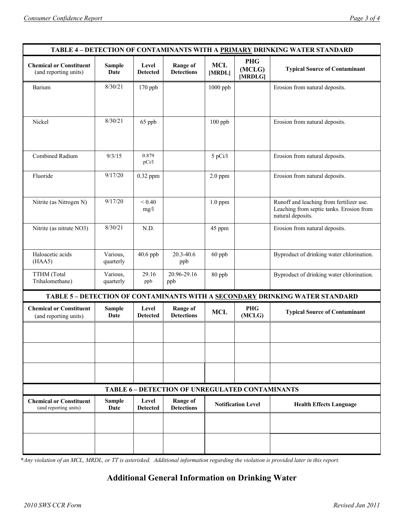| TABLE 4 - DETECTION OF CONTAMINANTS WITH A PRIMARY DRINKING WATER STANDARD |                       |                          |                                                 |                           |                                 |                                                                                                           |  |
|----------------------------------------------------------------------------|-----------------------|--------------------------|-------------------------------------------------|---------------------------|---------------------------------|-----------------------------------------------------------------------------------------------------------|--|
| <b>Chemical or Constituent</b><br>(and reporting units)                    | <b>Sample</b><br>Date | Level<br><b>Detected</b> | <b>Range of</b><br><b>Detections</b>            | <b>MCL</b><br>[MRDL]      | <b>PHG</b><br>(MCLG)<br>[MRDLG] | <b>Typical Source of Contaminant</b>                                                                      |  |
| Barium                                                                     | 8/30/21               | 170 ppb                  |                                                 | 1000 ppb                  |                                 | Erosion from natural deposits.                                                                            |  |
|                                                                            |                       |                          |                                                 |                           |                                 |                                                                                                           |  |
| Nickel                                                                     | 8/30/21               | 65 ppb                   |                                                 | 100 ppb                   |                                 | Erosion from natural deposits.                                                                            |  |
|                                                                            |                       |                          |                                                 |                           |                                 |                                                                                                           |  |
| Combined Radium                                                            | 9/3/15                | 0.879<br>pCi/1           |                                                 | $5$ pCi/l                 |                                 | Erosion from natural deposits.                                                                            |  |
| Fluoride                                                                   | 9/17/20               | 0.32 ppm                 |                                                 | $2.0$ ppm                 |                                 | Erosion from natural deposits.                                                                            |  |
|                                                                            |                       |                          |                                                 |                           |                                 |                                                                                                           |  |
| Nitrite (as Nitrogen N)                                                    | 9/17/20               | < 0.40<br>mg/1           |                                                 | $1.0$ ppm                 |                                 | Runoff and leaching from fertilizer use.<br>Leaching from septic tanks. Erosion from<br>natural deposits. |  |
| Nitrite (as nitrate NO3)                                                   | 8/30/21               | N.D.                     |                                                 | 45 ppm                    |                                 | Erosion from natural deposits.                                                                            |  |
| Haloacetic acids<br>(HAA5)                                                 | Various,<br>quarterly | 40.6 ppb                 | 20.3-40.6<br>ppb                                | 60 ppb                    |                                 | Byproduct of drinking water chlorination.                                                                 |  |
| TTHM (Total<br>Trihalomethane)                                             | Various,<br>quarterly | 29.16<br>ppb             | 20.96-29.16<br>ppb                              | 80 ppb                    |                                 | Byproduct of drinking water chlorination.                                                                 |  |
|                                                                            |                       |                          |                                                 |                           |                                 | TABLE 5 - DETECTION OF CONTAMINANTS WITH A SECONDARY DRINKING WATER STANDARD                              |  |
| <b>Chemical or Constituent</b><br>(and reporting units)                    | <b>Sample</b><br>Date | Level<br><b>Detected</b> | <b>Range of</b><br><b>Detections</b>            | <b>MCL</b>                | <b>PHG</b><br>(MCLG)            | <b>Typical Source of Contaminant</b>                                                                      |  |
|                                                                            |                       |                          |                                                 |                           |                                 |                                                                                                           |  |
|                                                                            |                       |                          |                                                 |                           |                                 |                                                                                                           |  |
|                                                                            |                       |                          |                                                 |                           |                                 |                                                                                                           |  |
|                                                                            |                       |                          | TABLE 6 - DETECTION OF UNREGULATED CONTAMINANTS |                           |                                 |                                                                                                           |  |
| <b>Chemical or Constituent</b><br>(and reporting units)                    | <b>Sample</b><br>Date | Level<br><b>Detected</b> | <b>Range of</b><br><b>Detections</b>            | <b>Notification Level</b> |                                 | <b>Health Effects Language</b>                                                                            |  |
|                                                                            |                       |                          |                                                 |                           |                                 |                                                                                                           |  |
|                                                                            |                       |                          |                                                 |                           |                                 |                                                                                                           |  |

**\****Any violation of an MCL, MRDL, or TT is asterisked. Additional information regarding the violation is provided later in this report.*

# **Additional General Information on Drinking Water**